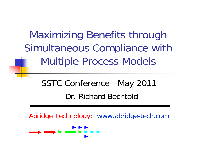Maximizing Benefits through Simultaneous Compliance with Multiple Process Models

> SSTC Conference—May 2011 Dr. Richard Bechtold

Abridge Technology: www.abridge-tech.com

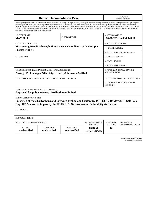| <b>Report Documentation Page</b>                                                                                                                                                                                                                                                                                                                                                                                                                                                                                                                                                                                                                                                                                                                                                                                                                                   |                             |                              |                                                   | Form Approved<br>OMB No. 0704-0188                  |                           |  |
|--------------------------------------------------------------------------------------------------------------------------------------------------------------------------------------------------------------------------------------------------------------------------------------------------------------------------------------------------------------------------------------------------------------------------------------------------------------------------------------------------------------------------------------------------------------------------------------------------------------------------------------------------------------------------------------------------------------------------------------------------------------------------------------------------------------------------------------------------------------------|-----------------------------|------------------------------|---------------------------------------------------|-----------------------------------------------------|---------------------------|--|
| Public reporting burden for the collection of information is estimated to average 1 hour per response, including the time for reviewing instructions, searching existing data sources, gathering and<br>maintaining the data needed, and completing and reviewing the collection of information. Send comments regarding this burden estimate or any other aspect of this collection of information,<br>including suggestions for reducing this burden, to Washington Headquarters Services, Directorate for Information Operations and Reports, 1215 Jefferson Davis Highway, Suite 1204, Arlington<br>VA 22202-4302. Respondents should be aware that notwithstanding any other provision of law, no person shall be subject to a penalty for failing to comply with a collection of information if it<br>does not display a currently valid OMB control number. |                             |                              |                                                   |                                                     |                           |  |
| 1. REPORT DATE<br><b>MAY 2011</b>                                                                                                                                                                                                                                                                                                                                                                                                                                                                                                                                                                                                                                                                                                                                                                                                                                  | 2. REPORT TYPE              |                              |                                                   | <b>3. DATES COVERED</b><br>00-00-2011 to 00-00-2011 |                           |  |
| <b>4. TITLE AND SUBTITLE</b>                                                                                                                                                                                                                                                                                                                                                                                                                                                                                                                                                                                                                                                                                                                                                                                                                                       |                             |                              |                                                   | 5a. CONTRACT NUMBER                                 |                           |  |
| <b>Maximizing Benefits through Simultaneous Compliance with Multiple</b><br><b>Process Models</b>                                                                                                                                                                                                                                                                                                                                                                                                                                                                                                                                                                                                                                                                                                                                                                  |                             |                              |                                                   | <b>5b. GRANT NUMBER</b>                             |                           |  |
|                                                                                                                                                                                                                                                                                                                                                                                                                                                                                                                                                                                                                                                                                                                                                                                                                                                                    |                             |                              |                                                   | 5c. PROGRAM ELEMENT NUMBER                          |                           |  |
| 6. AUTHOR(S)                                                                                                                                                                                                                                                                                                                                                                                                                                                                                                                                                                                                                                                                                                                                                                                                                                                       |                             |                              |                                                   | 5d. PROJECT NUMBER                                  |                           |  |
|                                                                                                                                                                                                                                                                                                                                                                                                                                                                                                                                                                                                                                                                                                                                                                                                                                                                    |                             |                              |                                                   | <b>5e. TASK NUMBER</b>                              |                           |  |
|                                                                                                                                                                                                                                                                                                                                                                                                                                                                                                                                                                                                                                                                                                                                                                                                                                                                    |                             |                              |                                                   | 5f. WORK UNIT NUMBER                                |                           |  |
| 7. PERFORMING ORGANIZATION NAME(S) AND ADDRESS(ES)<br>Abridge Technology, 42786 Oatyer Court, Ashburn, VA, 20148                                                                                                                                                                                                                                                                                                                                                                                                                                                                                                                                                                                                                                                                                                                                                   |                             |                              |                                                   | 8. PERFORMING ORGANIZATION<br><b>REPORT NUMBER</b>  |                           |  |
| 9. SPONSORING/MONITORING AGENCY NAME(S) AND ADDRESS(ES)                                                                                                                                                                                                                                                                                                                                                                                                                                                                                                                                                                                                                                                                                                                                                                                                            |                             |                              |                                                   | 10. SPONSOR/MONITOR'S ACRONYM(S)                    |                           |  |
|                                                                                                                                                                                                                                                                                                                                                                                                                                                                                                                                                                                                                                                                                                                                                                                                                                                                    |                             |                              |                                                   | 11. SPONSOR/MONITOR'S REPORT<br>NUMBER(S)           |                           |  |
| 12. DISTRIBUTION/AVAILABILITY STATEMENT                                                                                                                                                                                                                                                                                                                                                                                                                                                                                                                                                                                                                                                                                                                                                                                                                            |                             |                              |                                                   |                                                     |                           |  |
| Approved for public release; distribution unlimited                                                                                                                                                                                                                                                                                                                                                                                                                                                                                                                                                                                                                                                                                                                                                                                                                |                             |                              |                                                   |                                                     |                           |  |
| <b>13. SUPPLEMENTARY NOTES</b><br>Presented at the 23rd Systems and Software Technology Conference (SSTC), 16-19 May 2011, Salt Lake<br>City, UT. Sponsored in part by the USAF. U.S. Government or Federal Rights License                                                                                                                                                                                                                                                                                                                                                                                                                                                                                                                                                                                                                                         |                             |                              |                                                   |                                                     |                           |  |
| 14. ABSTRACT                                                                                                                                                                                                                                                                                                                                                                                                                                                                                                                                                                                                                                                                                                                                                                                                                                                       |                             |                              |                                                   |                                                     |                           |  |
| <b>15. SUBJECT TERMS</b>                                                                                                                                                                                                                                                                                                                                                                                                                                                                                                                                                                                                                                                                                                                                                                                                                                           |                             |                              |                                                   |                                                     |                           |  |
| 16. SECURITY CLASSIFICATION OF:<br>17. LIMITATION OF                                                                                                                                                                                                                                                                                                                                                                                                                                                                                                                                                                                                                                                                                                                                                                                                               |                             |                              |                                                   | 18. NUMBER                                          | 19a. NAME OF              |  |
| a. REPORT<br>unclassified                                                                                                                                                                                                                                                                                                                                                                                                                                                                                                                                                                                                                                                                                                                                                                                                                                          | b. ABSTRACT<br>unclassified | c. THIS PAGE<br>unclassified | <b>ABSTRACT</b><br>Same as<br><b>Report (SAR)</b> | OF PAGES<br>43                                      | <b>RESPONSIBLE PERSON</b> |  |

**Standard Form 298 (Rev. 8-98)**<br>Prescribed by ANSI Std Z39-18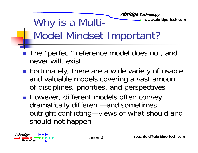#### **Abridge Technology** Why is a Multi-Model Mindset Important?

- r. The "perfect" reference model does not, and never will, exist
- r. **Fortunately, there are a wide variety of usable** and valuable models covering a vast amount of disciplines, priorities, and perspectives
- T. **However, different models often convey** dramatically different—and sometimes outright conflicting—views of what should and should not happen

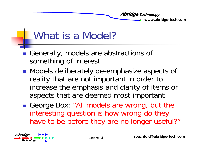

#### What is a Model?

- r. Generally, models are abstractions of something of interest
- r. **Nodels deliberately de-emphasize aspects of** reality that are not important in order to increase the emphasis and clarity of items or aspects that are deemed most important
- T. George Box: "All models are wrong, but the interesting question is how wrong do they have to be before they are no longer useful?"

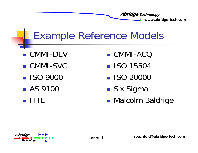- CMMI-DEV
- $\blacksquare$  CMMI-SVC U **II**
- **ISO 9000**
- $\blacksquare$  AS 9100  $\blacksquare$  Six Si
- ITIL
- CMMI-ACQ
- **ISO 15504**
- **ISO 20000**
- ■ Six Sigma
- **• Malcolm Baldrige**

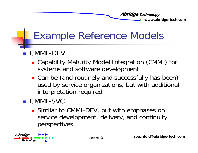### Example Reference Models

#### CMMI-DEV

- Capability Maturity Model Integration (CMMI) for systems and software development
- **Can be (and routinely and successfully has been)** used by service organizations, but with additional interpretation required
- CMMI-SVC
	- **Similar to CMMI-DEV, but with emphases on** service development, delivery, and continuity perspectives

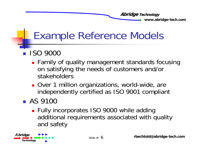#### Example Reference Models

#### r. ISO 9000

- **Examily of quality management standards focusing** on satisfying the needs of customers and/or stakeholders
- **Quer 1 million organizations, world-wide, are** independently certified as ISO 9001 compliant

#### **B** AS 9100

**Fully incorporates ISO 9000 while adding** additional requirements associated with quality and safety

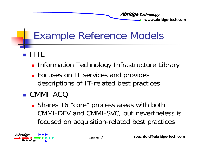- ITIL
	- **Refinition Technology Infrastructure Library**
	- **Focuses on IT services and provides** descriptions of IT-related best practices
- CMMI-ACQ
	- **Shares 16 "core" process areas with both** CMMI-DEV and CMMI-SVC, but nevertheless is focused on acquisition-related best practices

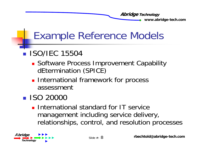- **ISO/IEC 15504** 
	- **Software Process Improvement Capability** dEtermination (SPICE)
	- **International framework for process** assessment
- **ISO 20000** 
	- **International standard for IT service** management including service delivery, relationships, control, and resolution processes

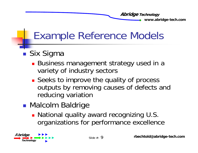- ■ Six Sigma
	- Business management strategy used in a variety of industry sectors
	- **Seeks to improve the quality of process** outputs by removing causes of defects and reducing variation
- **Malcolm Baldrige** 
	- National quality award recognizing U.S. organizations for performance excellence

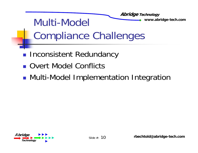#### **Abridge Technology** Multi-Model www.abridge-tech.com Compliance Challenges Inconsistent Redundancy

- Overt Model Conflicts
- **• Multi-Model Implementation Integration**

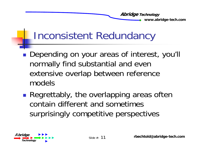### Inconsistent Redundancy

- Depending on your areas of interest, you'll normally find substantial and even extensive overlap between reference models
- **Regrettably, the overlapping areas often** contain different and sometimes surprisingly competitive perspectives

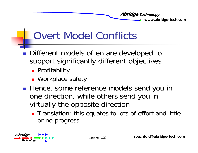## Overt Model Conflicts

- r. Different models often are developed to support significantly different objectives
	- **•** Profitability
	- Workplace safety
- r. **Hence, some reference models send you in** one direction, while others send you in virtually the opposite direction
	- **The Translation: this equates to lots of effort and little** or no progress

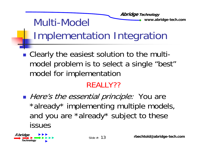#### **Abridge Technology** Multi-Model www.abridge-tech.com Implementation Integration

 Clearly the easiest solution to the multimodel problem is to select a single "best" model for implementation

#### REALLY??

**Here's the essential principle: You are**  $*$ already $*$  implementing multiple models, and you are \*already\* subject to these issues

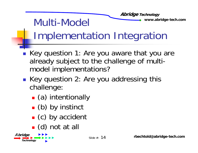#### **Abridge Technology** Multi-Model www.abridge-tech.com Implementation Integration

- r. Key question 1: Are you aware that you are already subject to the challenge of multimodel implementations?
- T. ■ Key question 2: Are you addressing this challenge:
	- П (a) intentionally
	- П  $\blacksquare$  (b) by instinct
	- m. (c) by accident
	- $\blacksquare$  (d) not at all

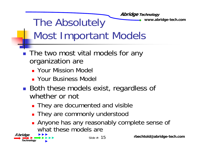**Abridge Technology** The Absolutely www.abridge-tech.com

Most Important Models

- r. ■ The two most vital models for any organization are
	- **Your Mission Model**
	- **E** Your Business Model
- r. **Both these models exist, regardless of** whether or not
	- **They are documented and visible**
	- **They are commonly understood**
	- **Anyone has any reasonably complete sense of** what these models are

 $\overrightarrow{A}$ *bridge*  $\overrightarrow{B}$   $\overrightarrow{B}$   $\overrightarrow{C}$  Slide #: **Technology**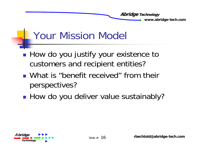

### Your Mission Model

- How do you justify your existence to customers and recipient entities?
- **Nhat is "benefit received" from their** perspectives?
- ■ How do you deliver value sustainably?

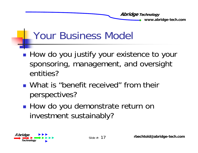### Your Business Model

- How do you justify your existence to your sponsoring, management, and oversight entities?
- **Nhat is "benefit received" from their Prometally** perspectives?
- ■ How do you demonstrate return on investment sustainably?

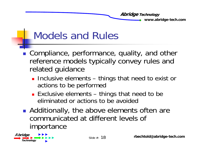

#### Models and Rules

- r. **Compliance, performance, quality, and other** reference models typically convey rules and related guidance
	- **Inclusive elements things that need to exist or** actions to be performed
	- Exclusive elements things that need to be eliminated or actions to be avoided
- T. ■ Additionally, the above elements often are communicated at different levels of importance

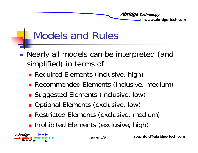

#### Models and Rules

- $\mathbb{R}^3$  Nearly all models can be interpreted (and simplified) in terms of
	- **Required Elements (inclusive, high)**
	- Recommended Elements (inclusive, medium)
	- **Buggested Elements (inclusive, low)**
	- **Qptional Elements (exclusive, low) a**
	- **Restricted Elements (exclusive, medium)**
	- **Prohibited Elements (exclusive, high)**

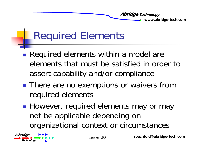

### Required Elements

- Required elements within a model are elements that must be satisfied in order to assert capability and/or compliance
- **There are no exemptions or waivers from** required elements
- **However, required elements may or may** not be applicable depending on organizational context or circumstances organizational context circumstances

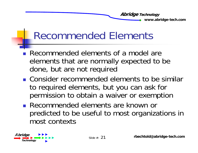#### Recommended Elements

- r. Recommended elements of a model are elements that are normally expected to be done, but are not required
- **EXCONSTARGE COMMENDED EXAMPLE 10 FOR CONSTANT CONSTANT** to required elements, but you can ask for permission to obtain a waiver or exemption
- Recommended elements are known or predicted to be useful to most organizations in most contexts

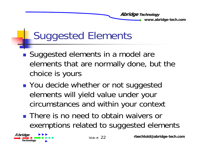

# Suggested Elements

- Suggested elements in a model are elements that are normally done, but the choice is yours
- **Nou decide whether or not suggested** elements will yield value under your circumstances and within your context
- **There is no need to obtain waivers or** exemptions related to suggested elements

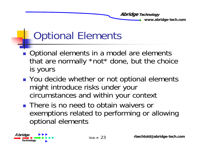

### Optional Elements

- r. Optional elements in a model are elements that are normally \*not\* done, but the choice is yours
- **Nou decide whether or not optional elements** might introduce risks under your circumstances and within your context
- **There is no need to obtain waivers or** exemptions related to performing or allowing optional elements p

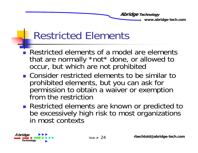#### Restricted Elements

- T. Restricted elements of a model are elements that are normally \*not\* done, or allowed to occur, but which are not prohibited
- **EXCONSTANGER CONSTANGER CONSTANGERY CONSTANGERY CONSTANGERY CONSTANGERY CONSTANGERY CONSTANGERY CONSTANGERY CONSTANGERY CONSTANGERY CONSTANGERY CONSTANGERY CONSTANGERY CONSTANDING CONSTANDING CONSTANGERY CONSTANGERY CONST** prohibited elements, but you can ask for permission to obtain a waiver or exemption from the restriction
- **Restricted elements are known or predicted to** be excessively high risk to most organizations in most contexts

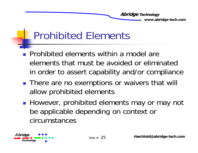### Prohibited Elements

- **Prohibited elements within a model are** elements that must be avoided or eliminated in order to assert capability and/or compliance
- **There are no exemptions or waivers that will** allow prohibited elements
- r. **However, prohibited elements may or may not** be applicable depending on context or circumstances

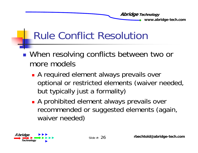- When resolving conflicts between two or more models
	- **A** required element always prevails over optional or restricted elements (waiver needed, but typically just a formality)
	- **A** prohibited element always prevails over recommended or suggested elements (again, waiver needed)

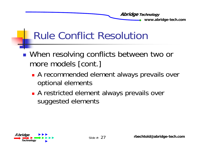- When resolving conflicts between two or more models [cont.]
	- **A** recommended element always prevails over optional elements
	- **A** restricted element always prevails over suggested elements

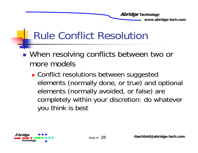- When resolving conflicts between two or more models
	- **. Conflict resolutions between suggested** elements (normally done, or true) and optional elements (normally avoided, or false) are completely within your discretion: do whatever you think is best

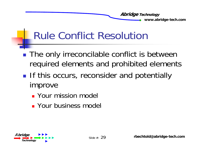- The only irreconcilable conflict is between required elements and prohibited elements
- **Service Service If this occurs, reconsider and potentially** improve
	- **E** Your mission model
	- **Your business model**

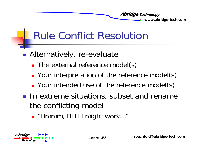- Alternatively, re-evaluate
	- **The external reference model(s)**
	- **Parther Vour interpretation of the reference model(s)**
	- **Part Your intended use of the reference model(s)**
- **IF In extreme situations, subset and rename** the conflicting model
	- "Hmmm, BLLH might work…"

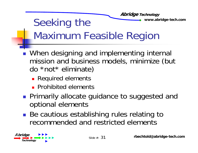#### **Abridge Technology** Seeking the **Seeking the Seeking the Seeking the Seeking Seeking the Seeking of the Seeking Seeking Seeking Seeking Seeking Seeking Seeking Seeking Seeking Seeking Seeking Seeking Seeking Seeking Seeking Seeking Seeking Se** Maximum Feasible Region

- r. **Nhen designing and implementing internal** mission and business models, minimize (but  $do * not * eliminate)$ 
	- **Required elements**
	- **Prohibited elements**
- T. **Primarily allocate guidance to suggested and** optional elements
- T. ■ Be cautious establishing rules relating to recommended and restricted elements

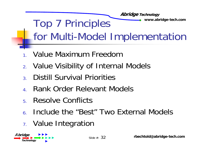

- 1.Value Maximum Freedom
- 2. Value Visibility of Internal Models
- 3.Distill Survival Priorities
- 4.R ank Order Relevant Models
- 5.Resolve Conflicts
- 6.Include the "Best" Two External Models
- 7. Value Integration

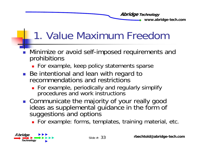# 1. Value Maximum Freedom

- Minimize or avoid self-imposed requirements and prohibitions
	- **For example, keep policy statements sparse**
- Be intentional and lean with regard to recommendations and restrictions
	- **For example, periodically and regularly simplify** procedures and work instructions
- Communicate the majority of your really good ideas as supplemental guidance in the form of suggestions and options
	- **Example: forms, templates, training material, etc.**  $\blacksquare$

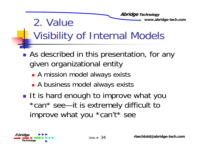**Abridge Technology 2. Value Warehouse 2. We also have a view www.abridge-tech.com** Visibility of Internal Models

- As described in this presentation, for any given organizational entity
	- **A mission model always exists**
	- **A** business model always exists
- **Service Service It is hard enough to improve what you**  $^{\star}$ can $^{\star}$  see—it is extremely difficult to improve what you \*can't\* see

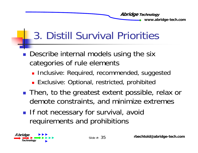# 3. Distill Survival Priorities

- T. Describe internal models using the six categories of rule elements
	- **Inclusive: Required, recommended, suggested**
	- **Exclusive: Optional, restricted, prohibited**
- T. ■ Then, to the greatest extent possible, relax or demote constraints, and minimize extremes
- T. **If not necessary for survival, avoid** requirements and prohibitions

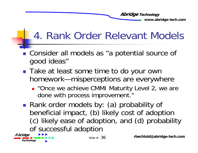### 4. Rank Order Relevant Models

- **Consider all models as "a potential source of** good ideas"
- r. ■ Take at least some time to do your own homework—misperceptions are everywhere
	- **.** "Once we achieve CMMI Maturity Level 2, we are done with process improvement."
- T. ■ Rank order models by: (a) probability of beneficial impact, (b) likely cost of adoption (c) likely ease of adoption, and (d) probability<br>of successful adoption

 $\overrightarrow{A}$ *bridge*  $\overrightarrow{B}$   $\overrightarrow{B}$   $\overrightarrow{C}$  Slide #: **Technology**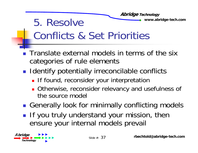#### **Abridge Technology 5. Resolve** We www.abridge-tech.com Conflicts & Set Priorities

- **The Translate external models in terms of the six** categories of rule elements
- r. **I** Identify potentially irreconcilable conflicts
	- **If found, reconsider your interpretation**
	- **Otherwise, reconsider relevancy and usefulness of** the source model
- T. **Generally look for minimally conflicting models**
- r. **If you truly understand your mission, then** ensure your internal models prevail

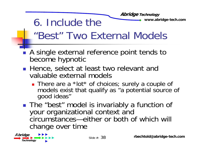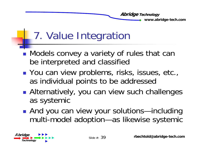# 7. Value Integration

- ■ Models convey a variety of rules that can be interpreted and classified
- ■ You can view problems, risks, issues, etc., as individual points to be addressed
- **Service Service • Alternatively, you can view such challenges** as systemic
- ■ And you can view your solutions—including multi-model adoption—as likewise systemic

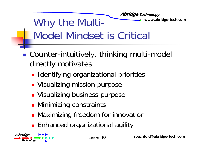**Abridge Technology** Why the Multi-Model Mindset is Critical

- Counter-intuitively, thinking multi-model directly motivates
	- **Identifying organizational priorities**
	- **Nisualizing mission purpose**
	- **Disabilizing business purpose**
	- **Minimizing constraints**
	- **Maximizing freedom for innovation**
	- **Enhanced organizational agility**

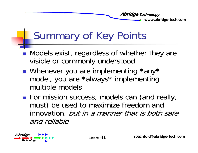# Summary of Key Points

- r. **Nodels exist, regardless of whether they are** visible or commonly understood
- r. ■ Whenever you are implementing \*any\* model, you are \*always\* implementing multiple models
- T. **For mission success, models can (and really,** must) be used to maximize freedom and innovation, but in a manner that is both safe and reliable

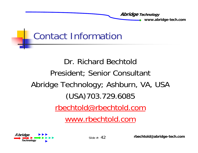

#### Contact Information

#### Dr. Richard BechtoldPresident; Senior Consultant Abridge Technology; Ashburn, VA, USA (USA)703.729.6085 rbechtold@rbechtold.com www.rbechtold.com